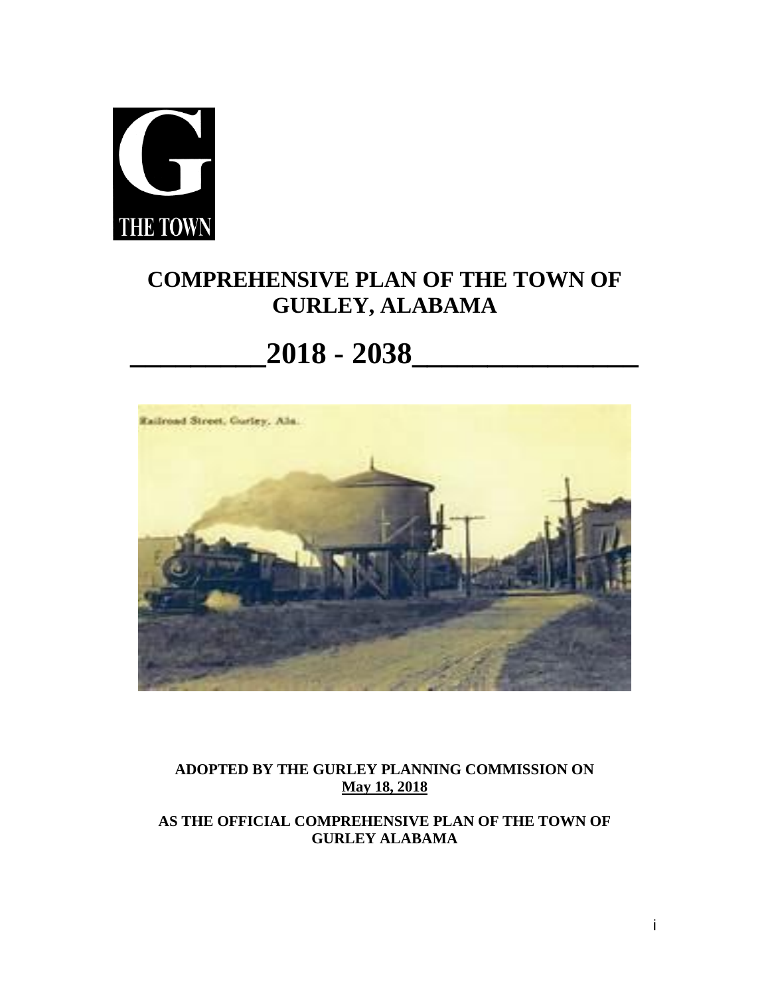

# **COMPREHENSIVE PLAN OF THE TOWN OF GURLEY, ALABAMA**

# **\_\_\_\_\_\_\_\_\_2018 - 2038\_\_\_\_\_\_\_\_\_\_\_\_\_\_\_**



**ADOPTED BY THE GURLEY PLANNING COMMISSION ON May 18, 2018**

**AS THE OFFICIAL COMPREHENSIVE PLAN OF THE TOWN OF GURLEY ALABAMA**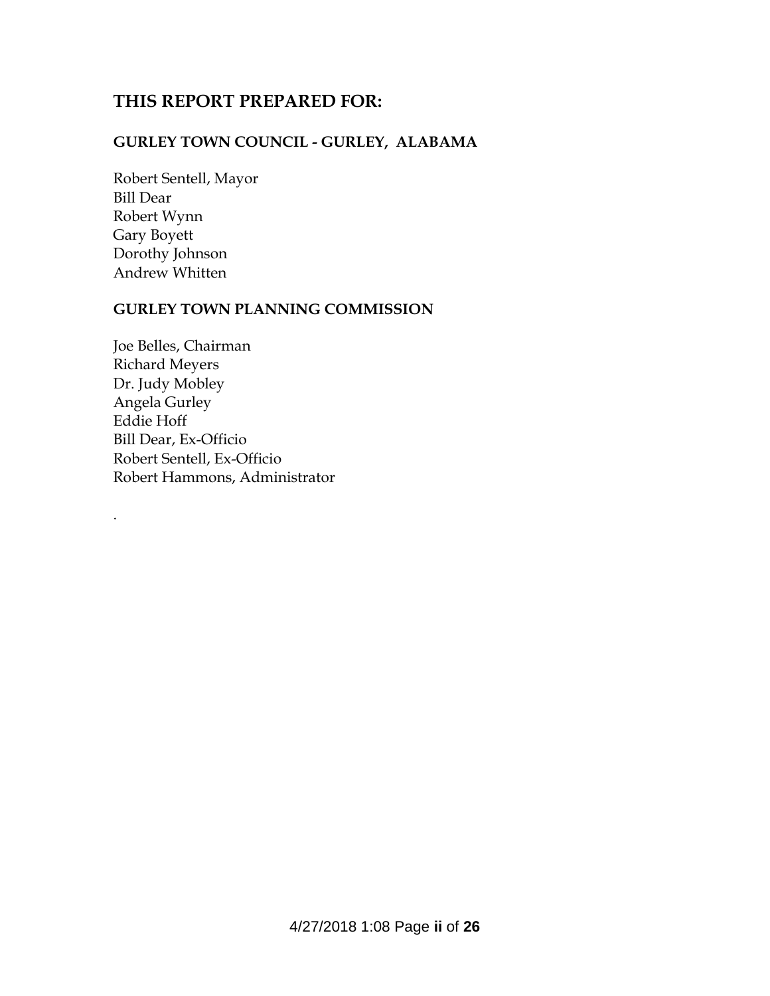# **THIS REPORT PREPARED FOR:**

# **GURLEY TOWN COUNCIL - GURLEY, ALABAMA**

Robert Sentell, Mayor Bill Dear Robert Wynn Gary Boyett Dorothy Johnson Andrew Whitten

.

#### **GURLEY TOWN PLANNING COMMISSION**

Joe Belles, Chairman Richard Meyers Dr. Judy Mobley Angela Gurley Eddie Hoff Bill Dear, Ex-Officio Robert Sentell, Ex-Officio Robert Hammons, Administrator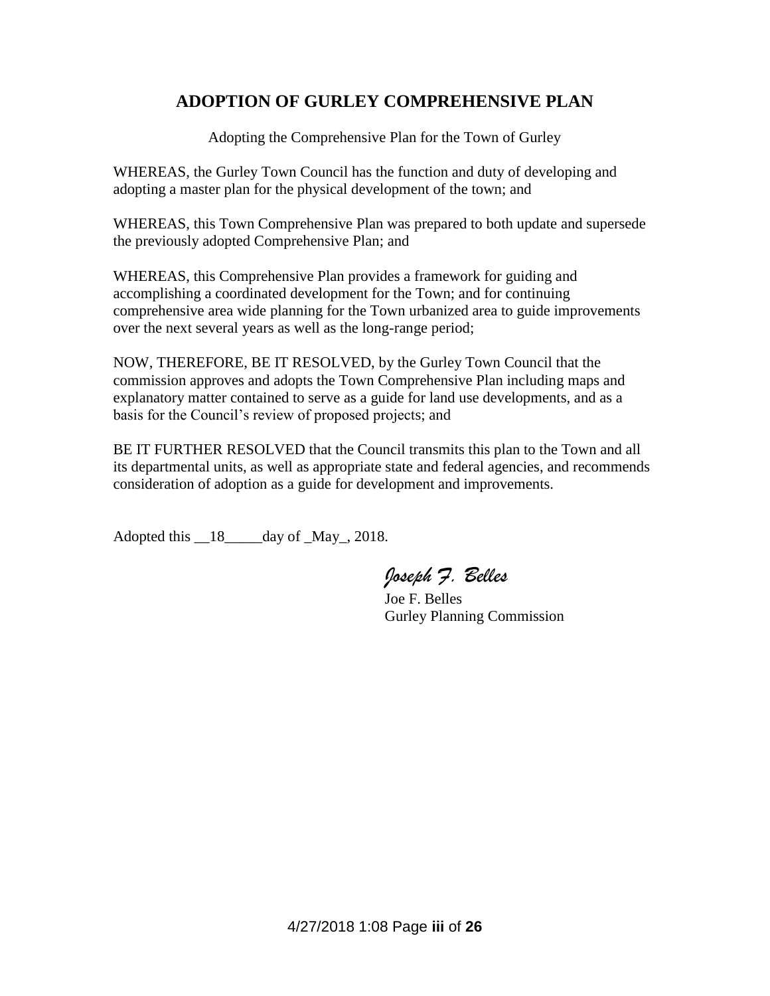# **ADOPTION OF GURLEY COMPREHENSIVE PLAN**

Adopting the Comprehensive Plan for the Town of Gurley

WHEREAS, the Gurley Town Council has the function and duty of developing and adopting a master plan for the physical development of the town; and

WHEREAS, this Town Comprehensive Plan was prepared to both update and supersede the previously adopted Comprehensive Plan; and

WHEREAS, this Comprehensive Plan provides a framework for guiding and accomplishing a coordinated development for the Town; and for continuing comprehensive area wide planning for the Town urbanized area to guide improvements over the next several years as well as the long-range period;

NOW, THEREFORE, BE IT RESOLVED, by the Gurley Town Council that the commission approves and adopts the Town Comprehensive Plan including maps and explanatory matter contained to serve as a guide for land use developments, and as a basis for the Council's review of proposed projects; and

BE IT FURTHER RESOLVED that the Council transmits this plan to the Town and all its departmental units, as well as appropriate state and federal agencies, and recommends consideration of adoption as a guide for development and improvements.

Adopted this \_18\_\_\_\_day of \_May\_, 2018.

*Joseph F. Belles*

 Joe F. Belles Gurley Planning Commission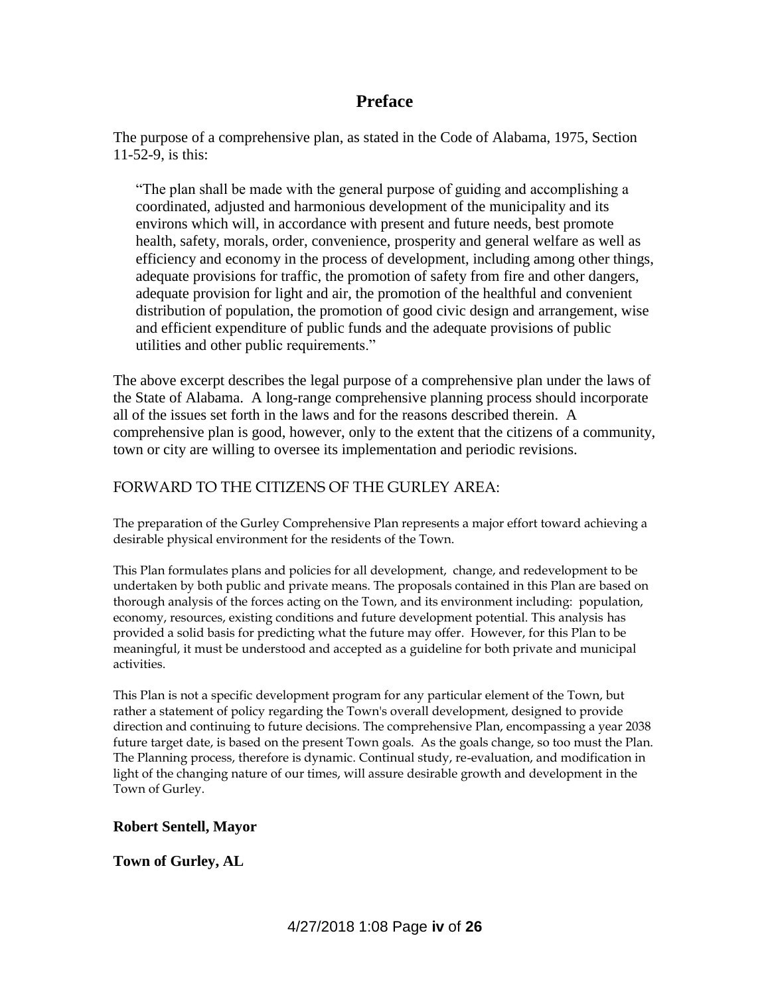### **Preface**

The purpose of a comprehensive plan, as stated in the Code of Alabama, 1975, Section 11-52-9, is this:

"The plan shall be made with the general purpose of guiding and accomplishing a coordinated, adjusted and harmonious development of the municipality and its environs which will, in accordance with present and future needs, best promote health, safety, morals, order, convenience, prosperity and general welfare as well as efficiency and economy in the process of development, including among other things, adequate provisions for traffic, the promotion of safety from fire and other dangers, adequate provision for light and air, the promotion of the healthful and convenient distribution of population, the promotion of good civic design and arrangement, wise and efficient expenditure of public funds and the adequate provisions of public utilities and other public requirements."

The above excerpt describes the legal purpose of a comprehensive plan under the laws of the State of Alabama. A long-range comprehensive planning process should incorporate all of the issues set forth in the laws and for the reasons described therein. A comprehensive plan is good, however, only to the extent that the citizens of a community, town or city are willing to oversee its implementation and periodic revisions.

#### FORWARD TO THE CITIZENS OF THE GURLEY AREA:

The preparation of the Gurley Comprehensive Plan represents a major effort toward achieving a desirable physical environment for the residents of the Town.

This Plan formulates plans and policies for all development, change, and redevelopment to be undertaken by both public and private means. The proposals contained in this Plan are based on thorough analysis of the forces acting on the Town, and its environment including: population, economy, resources, existing conditions and future development potential. This analysis has provided a solid basis for predicting what the future may offer. However, for this Plan to be meaningful, it must be understood and accepted as a guideline for both private and municipal activities.

This Plan is not a specific development program for any particular element of the Town, but rather a statement of policy regarding the Town's overall development, designed to provide direction and continuing to future decisions. The comprehensive Plan, encompassing a year 2038 future target date, is based on the present Town goals. As the goals change, so too must the Plan. The Planning process, therefore is dynamic. Continual study, re-evaluation, and modification in light of the changing nature of our times, will assure desirable growth and development in the Town of Gurley.

#### **Robert Sentell, Mayor**

#### **Town of Gurley, AL**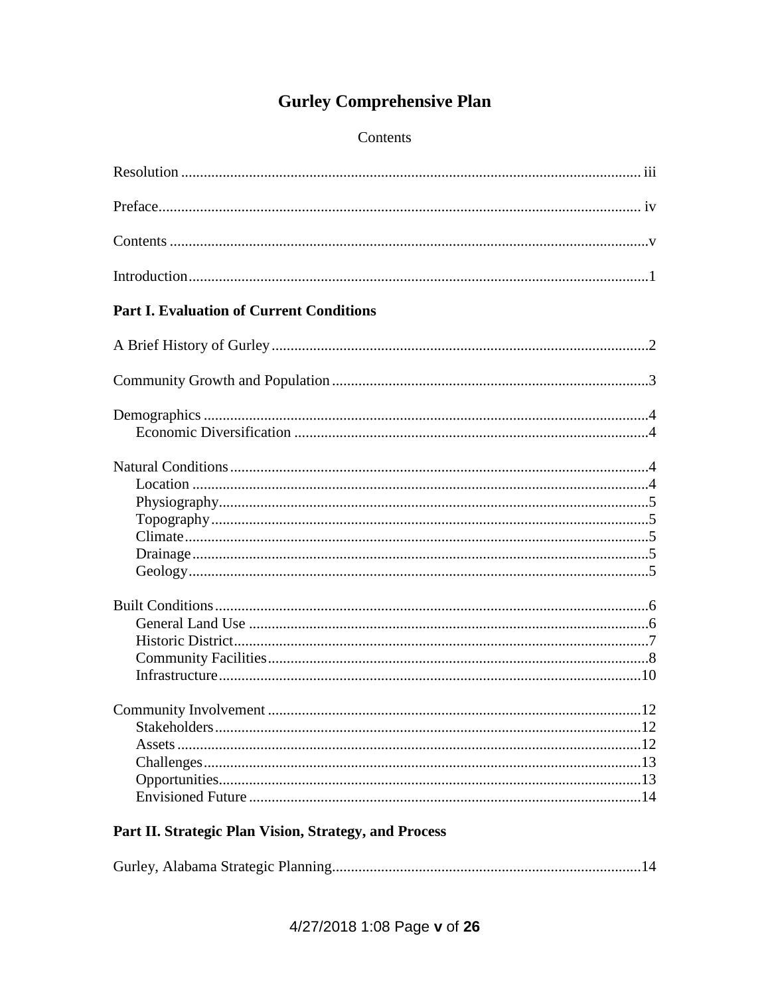# **Gurley Comprehensive Plan**

#### Contents

| <b>Part I. Evaluation of Current Conditions</b> |
|-------------------------------------------------|
|                                                 |
|                                                 |
|                                                 |
|                                                 |
|                                                 |
| .13                                             |

# Part II. Strategic Plan Vision, Strategy, and Process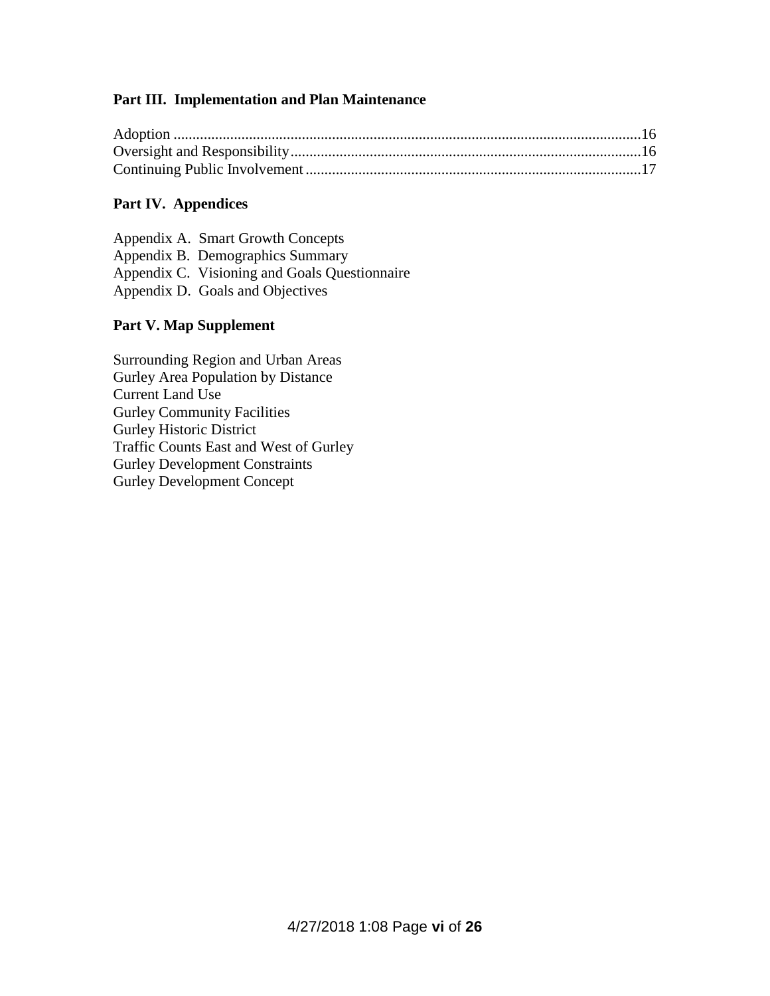#### **Part III. Implementation and Plan Maintenance**

#### **Part IV. Appendices**

| Appendix A. Smart Growth Concepts             |
|-----------------------------------------------|
| Appendix B. Demographics Summary              |
| Appendix C. Visioning and Goals Questionnaire |
| Appendix D. Goals and Objectives              |

#### **Part V. Map Supplement**

Surrounding Region and Urban Areas Gurley Area Population by Distance Current Land Use Gurley Community Facilities Gurley Historic District Traffic Counts East and West of Gurley Gurley Development Constraints Gurley Development Concept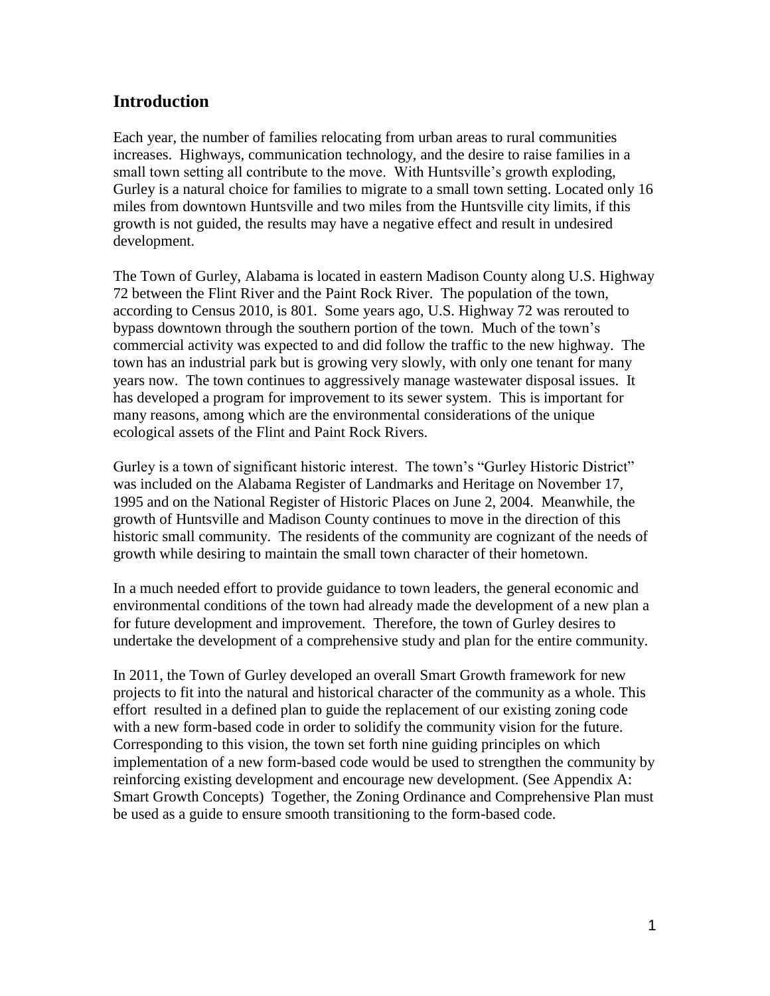# **Introduction**

Each year, the number of families relocating from urban areas to rural communities increases. Highways, communication technology, and the desire to raise families in a small town setting all contribute to the move. With Huntsville's growth exploding, Gurley is a natural choice for families to migrate to a small town setting. Located only 16 miles from downtown Huntsville and two miles from the Huntsville city limits, if this growth is not guided, the results may have a negative effect and result in undesired development.

The Town of Gurley, Alabama is located in eastern Madison County along U.S. Highway 72 between the Flint River and the Paint Rock River. The population of the town, according to Census 2010, is 801. Some years ago, U.S. Highway 72 was rerouted to bypass downtown through the southern portion of the town. Much of the town's commercial activity was expected to and did follow the traffic to the new highway. The town has an industrial park but is growing very slowly, with only one tenant for many years now. The town continues to aggressively manage wastewater disposal issues. It has developed a program for improvement to its sewer system. This is important for many reasons, among which are the environmental considerations of the unique ecological assets of the Flint and Paint Rock Rivers.

Gurley is a town of significant historic interest. The town's "Gurley Historic District" was included on the Alabama Register of Landmarks and Heritage on November 17, 1995 and on the National Register of Historic Places on June 2, 2004. Meanwhile, the growth of Huntsville and Madison County continues to move in the direction of this historic small community. The residents of the community are cognizant of the needs of growth while desiring to maintain the small town character of their hometown.

In a much needed effort to provide guidance to town leaders, the general economic and environmental conditions of the town had already made the development of a new plan a for future development and improvement. Therefore, the town of Gurley desires to undertake the development of a comprehensive study and plan for the entire community.

In 2011, the Town of Gurley developed an overall Smart Growth framework for new projects to fit into the natural and historical character of the community as a whole. This effort resulted in a defined plan to guide the replacement of our existing zoning code with a new form-based code in order to solidify the community vision for the future. Corresponding to this vision, the town set forth nine guiding principles on which implementation of a new form-based code would be used to strengthen the community by reinforcing existing development and encourage new development. (See Appendix A: Smart Growth Concepts) Together, the Zoning Ordinance and Comprehensive Plan must be used as a guide to ensure smooth transitioning to the form-based code.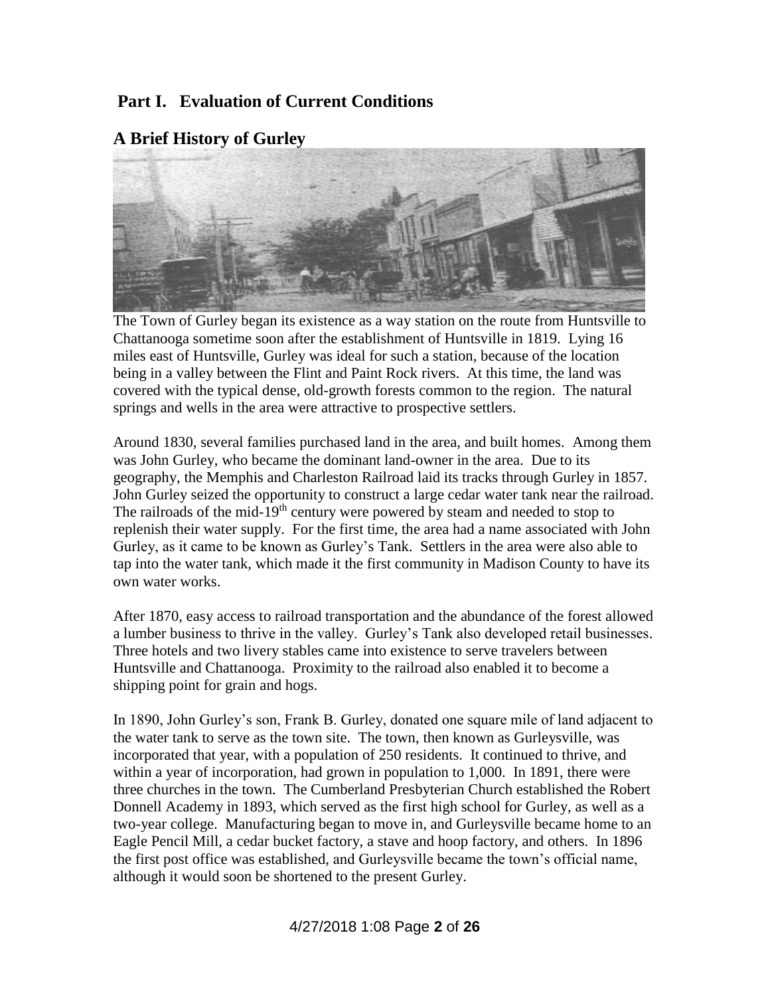# **Part I. Evaluation of Current Conditions**



#### **A Brief History of Gurley**

The Town of Gurley began its existence as a way station on the route from Huntsville to Chattanooga sometime soon after the establishment of Huntsville in 1819. Lying 16 miles east of Huntsville, Gurley was ideal for such a station, because of the location being in a valley between the Flint and Paint Rock rivers. At this time, the land was covered with the typical dense, old-growth forests common to the region. The natural springs and wells in the area were attractive to prospective settlers.

Around 1830, several families purchased land in the area, and built homes. Among them was John Gurley, who became the dominant land-owner in the area. Due to its geography, the Memphis and Charleston Railroad laid its tracks through Gurley in 1857. John Gurley seized the opportunity to construct a large cedar water tank near the railroad. The railroads of the mid-19<sup>th</sup> century were powered by steam and needed to stop to replenish their water supply. For the first time, the area had a name associated with John Gurley, as it came to be known as Gurley's Tank. Settlers in the area were also able to tap into the water tank, which made it the first community in Madison County to have its own water works.

After 1870, easy access to railroad transportation and the abundance of the forest allowed a lumber business to thrive in the valley. Gurley's Tank also developed retail businesses. Three hotels and two livery stables came into existence to serve travelers between Huntsville and Chattanooga. Proximity to the railroad also enabled it to become a shipping point for grain and hogs.

In 1890, John Gurley's son, Frank B. Gurley, donated one square mile of land adjacent to the water tank to serve as the town site. The town, then known as Gurleysville, was incorporated that year, with a population of 250 residents. It continued to thrive, and within a year of incorporation, had grown in population to 1,000. In 1891, there were three churches in the town. The Cumberland Presbyterian Church established the Robert Donnell Academy in 1893, which served as the first high school for Gurley, as well as a two-year college. Manufacturing began to move in, and Gurleysville became home to an Eagle Pencil Mill, a cedar bucket factory, a stave and hoop factory, and others. In 1896 the first post office was established, and Gurleysville became the town's official name, although it would soon be shortened to the present Gurley.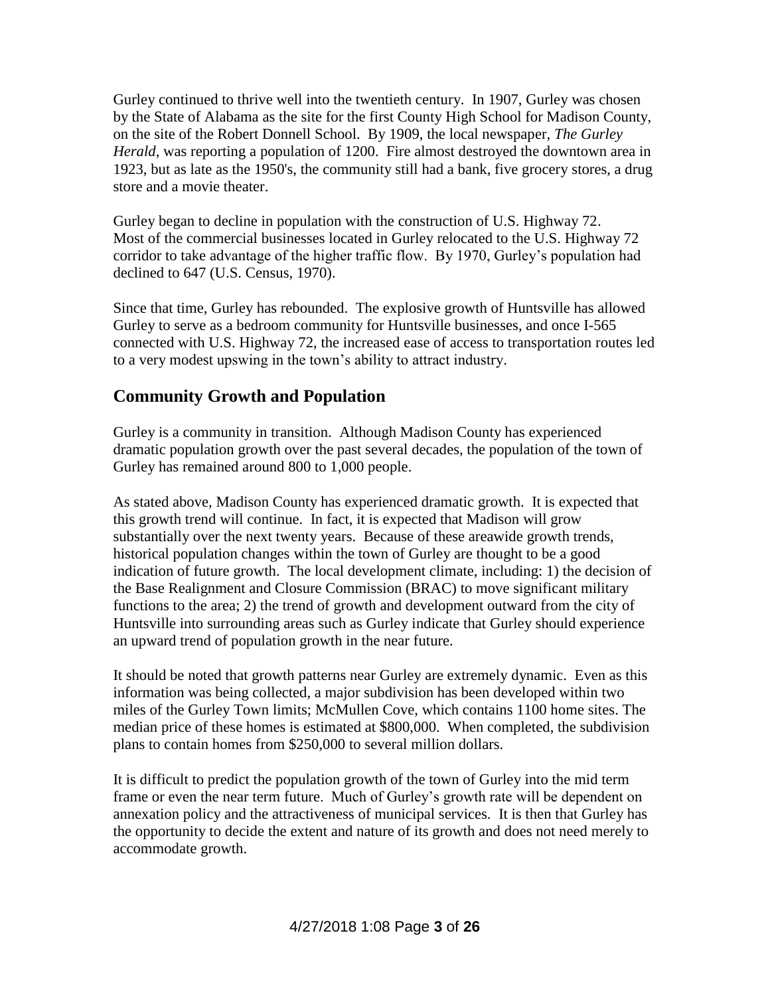Gurley continued to thrive well into the twentieth century. In 1907, Gurley was chosen by the State of Alabama as the site for the first County High School for Madison County, on the site of the Robert Donnell School. By 1909, the local newspaper, *The Gurley Herald*, was reporting a population of 1200. Fire almost destroyed the downtown area in 1923, but as late as the 1950's, the community still had a bank, five grocery stores, a drug store and a movie theater.

Gurley began to decline in population with the construction of U.S. Highway 72. Most of the commercial businesses located in Gurley relocated to the U.S. Highway 72 corridor to take advantage of the higher traffic flow. By 1970, Gurley's population had declined to 647 (U.S. Census, 1970).

Since that time, Gurley has rebounded. The explosive growth of Huntsville has allowed Gurley to serve as a bedroom community for Huntsville businesses, and once I-565 connected with U.S. Highway 72, the increased ease of access to transportation routes led to a very modest upswing in the town's ability to attract industry.

# **Community Growth and Population**

Gurley is a community in transition. Although Madison County has experienced dramatic population growth over the past several decades, the population of the town of Gurley has remained around 800 to 1,000 people.

As stated above, Madison County has experienced dramatic growth. It is expected that this growth trend will continue. In fact, it is expected that Madison will grow substantially over the next twenty years. Because of these areawide growth trends, historical population changes within the town of Gurley are thought to be a good indication of future growth. The local development climate, including: 1) the decision of the Base Realignment and Closure Commission (BRAC) to move significant military functions to the area; 2) the trend of growth and development outward from the city of Huntsville into surrounding areas such as Gurley indicate that Gurley should experience an upward trend of population growth in the near future.

It should be noted that growth patterns near Gurley are extremely dynamic. Even as this information was being collected, a major subdivision has been developed within two miles of the Gurley Town limits; McMullen Cove, which contains 1100 home sites. The median price of these homes is estimated at \$800,000. When completed, the subdivision plans to contain homes from \$250,000 to several million dollars.

It is difficult to predict the population growth of the town of Gurley into the mid term frame or even the near term future. Much of Gurley's growth rate will be dependent on annexation policy and the attractiveness of municipal services. It is then that Gurley has the opportunity to decide the extent and nature of its growth and does not need merely to accommodate growth.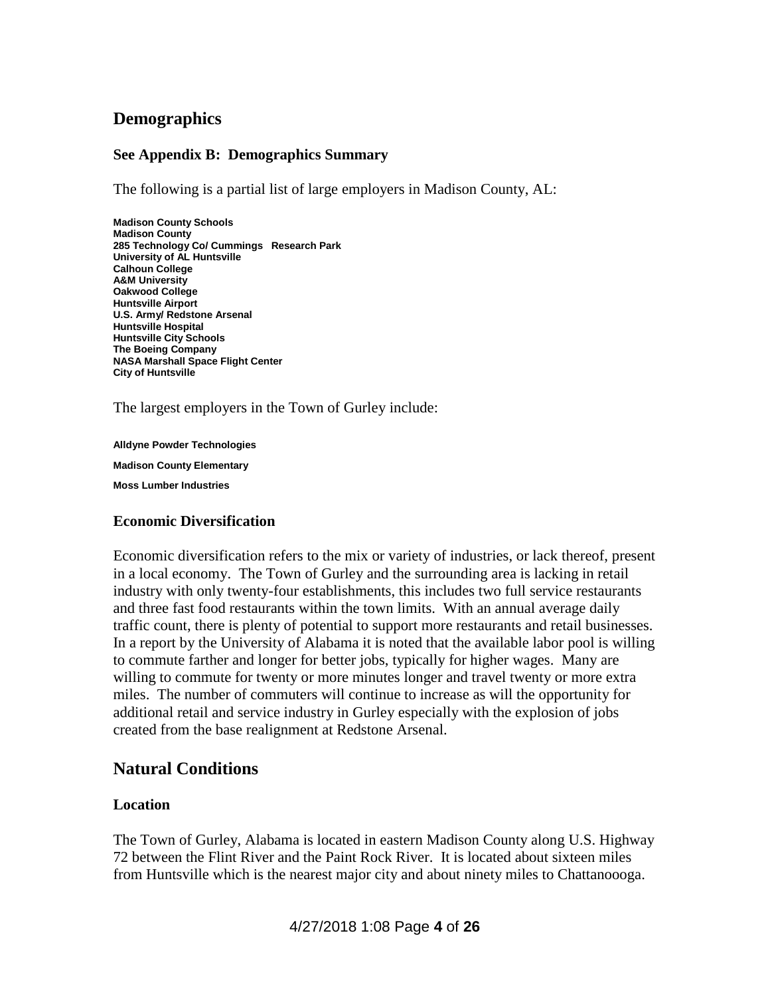# **Demographics**

#### **See Appendix B: Demographics Summary**

The following is a partial list of large employers in Madison County, AL:

**Madison County Schools Madison County 285 Technology Co/ Cummings Research Park University of AL Huntsville Calhoun College A&M University Oakwood College Huntsville Airport U.S. Army/ Redstone Arsenal Huntsville Hospital Huntsville City Schools The Boeing Company NASA Marshall Space Flight Center City of Huntsville**

The largest employers in the Town of Gurley include:

**Alldyne Powder Technologies**

**Madison County Elementary**

**Moss Lumber Industries**

#### **Economic Diversification**

Economic diversification refers to the mix or variety of industries, or lack thereof, present in a local economy. The Town of Gurley and the surrounding area is lacking in retail industry with only twenty-four establishments, this includes two full service restaurants and three fast food restaurants within the town limits. With an annual average daily traffic count, there is plenty of potential to support more restaurants and retail businesses. In a report by the University of Alabama it is noted that the available labor pool is willing to commute farther and longer for better jobs, typically for higher wages. Many are willing to commute for twenty or more minutes longer and travel twenty or more extra miles. The number of commuters will continue to increase as will the opportunity for additional retail and service industry in Gurley especially with the explosion of jobs created from the base realignment at Redstone Arsenal.

# **Natural Conditions**

#### **Location**

The Town of Gurley, Alabama is located in eastern Madison County along U.S. Highway 72 between the Flint River and the Paint Rock River. It is located about sixteen miles from Huntsville which is the nearest major city and about ninety miles to Chattanoooga.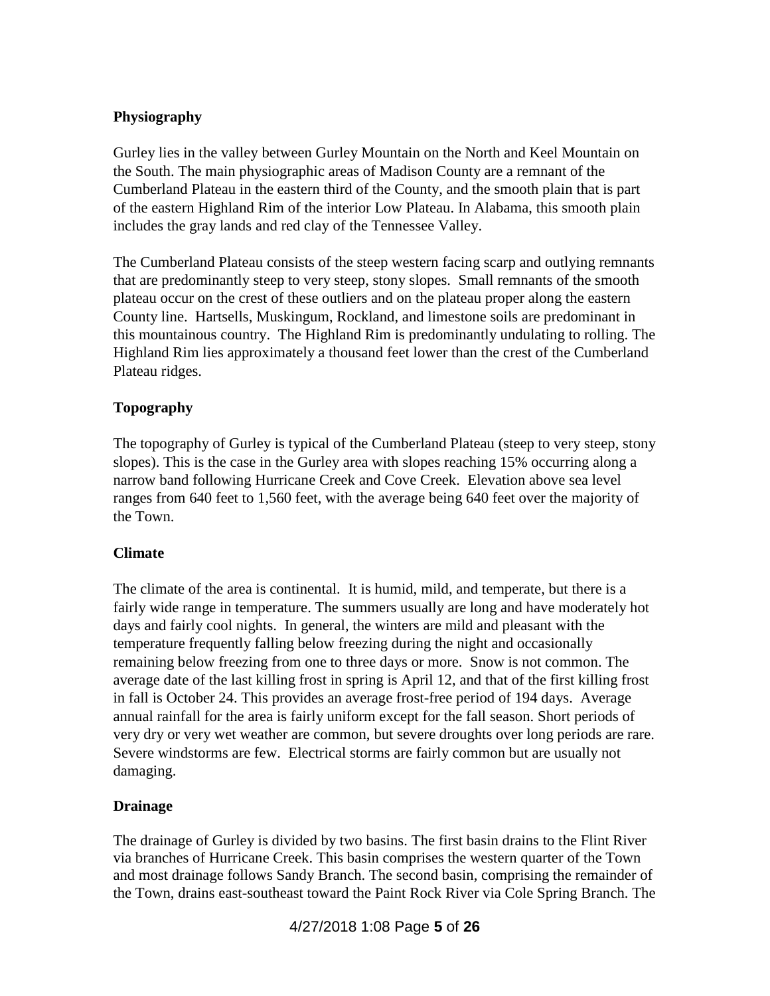#### **Physiography**

Gurley lies in the valley between Gurley Mountain on the North and Keel Mountain on the South. The main physiographic areas of Madison County are a remnant of the Cumberland Plateau in the eastern third of the County, and the smooth plain that is part of the eastern Highland Rim of the interior Low Plateau. In Alabama, this smooth plain includes the gray lands and red clay of the Tennessee Valley.

The Cumberland Plateau consists of the steep western facing scarp and outlying remnants that are predominantly steep to very steep, stony slopes. Small remnants of the smooth plateau occur on the crest of these outliers and on the plateau proper along the eastern County line. Hartsells, Muskingum, Rockland, and limestone soils are predominant in this mountainous country. The Highland Rim is predominantly undulating to rolling. The Highland Rim lies approximately a thousand feet lower than the crest of the Cumberland Plateau ridges.

#### **Topography**

The topography of Gurley is typical of the Cumberland Plateau (steep to very steep, stony slopes). This is the case in the Gurley area with slopes reaching 15% occurring along a narrow band following Hurricane Creek and Cove Creek. Elevation above sea level ranges from 640 feet to 1,560 feet, with the average being 640 feet over the majority of the Town.

#### **Climate**

The climate of the area is continental. It is humid, mild, and temperate, but there is a fairly wide range in temperature. The summers usually are long and have moderately hot days and fairly cool nights. In general, the winters are mild and pleasant with the temperature frequently falling below freezing during the night and occasionally remaining below freezing from one to three days or more. Snow is not common. The average date of the last killing frost in spring is April 12, and that of the first killing frost in fall is October 24. This provides an average frost-free period of 194 days. Average annual rainfall for the area is fairly uniform except for the fall season. Short periods of very dry or very wet weather are common, but severe droughts over long periods are rare. Severe windstorms are few. Electrical storms are fairly common but are usually not damaging.

#### **Drainage**

The drainage of Gurley is divided by two basins. The first basin drains to the Flint River via branches of Hurricane Creek. This basin comprises the western quarter of the Town and most drainage follows Sandy Branch. The second basin, comprising the remainder of the Town, drains east-southeast toward the Paint Rock River via Cole Spring Branch. The

4/27/2018 1:08 Page **5** of **26**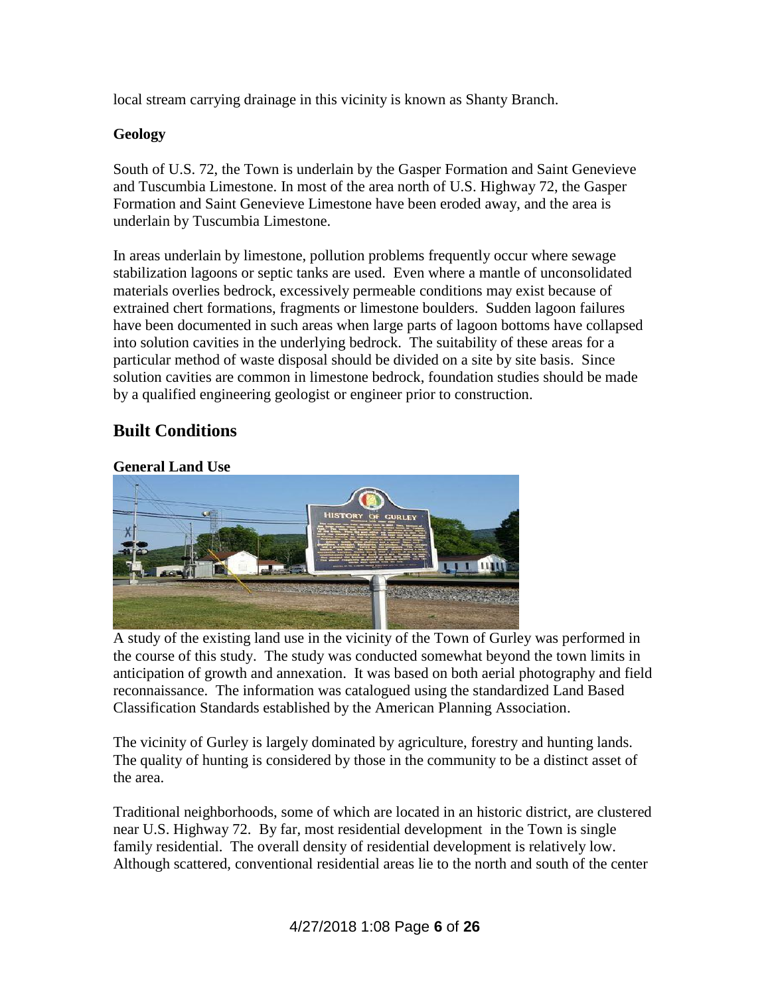local stream carrying drainage in this vicinity is known as Shanty Branch.

#### **Geology**

South of U.S. 72, the Town is underlain by the Gasper Formation and Saint Genevieve and Tuscumbia Limestone. In most of the area north of U.S. Highway 72, the Gasper Formation and Saint Genevieve Limestone have been eroded away, and the area is underlain by Tuscumbia Limestone.

In areas underlain by limestone, pollution problems frequently occur where sewage stabilization lagoons or septic tanks are used. Even where a mantle of unconsolidated materials overlies bedrock, excessively permeable conditions may exist because of extrained chert formations, fragments or limestone boulders. Sudden lagoon failures have been documented in such areas when large parts of lagoon bottoms have collapsed into solution cavities in the underlying bedrock. The suitability of these areas for a particular method of waste disposal should be divided on a site by site basis. Since solution cavities are common in limestone bedrock, foundation studies should be made by a qualified engineering geologist or engineer prior to construction.

# **Built Conditions**

#### **General Land Use**



A study of the existing land use in the vicinity of the Town of Gurley was performed in the course of this study. The study was conducted somewhat beyond the town limits in anticipation of growth and annexation. It was based on both aerial photography and field reconnaissance. The information was catalogued using the standardized Land Based Classification Standards established by the American Planning Association.

The vicinity of Gurley is largely dominated by agriculture, forestry and hunting lands. The quality of hunting is considered by those in the community to be a distinct asset of the area.

Traditional neighborhoods, some of which are located in an historic district, are clustered near U.S. Highway 72. By far, most residential development in the Town is single family residential. The overall density of residential development is relatively low. Although scattered, conventional residential areas lie to the north and south of the center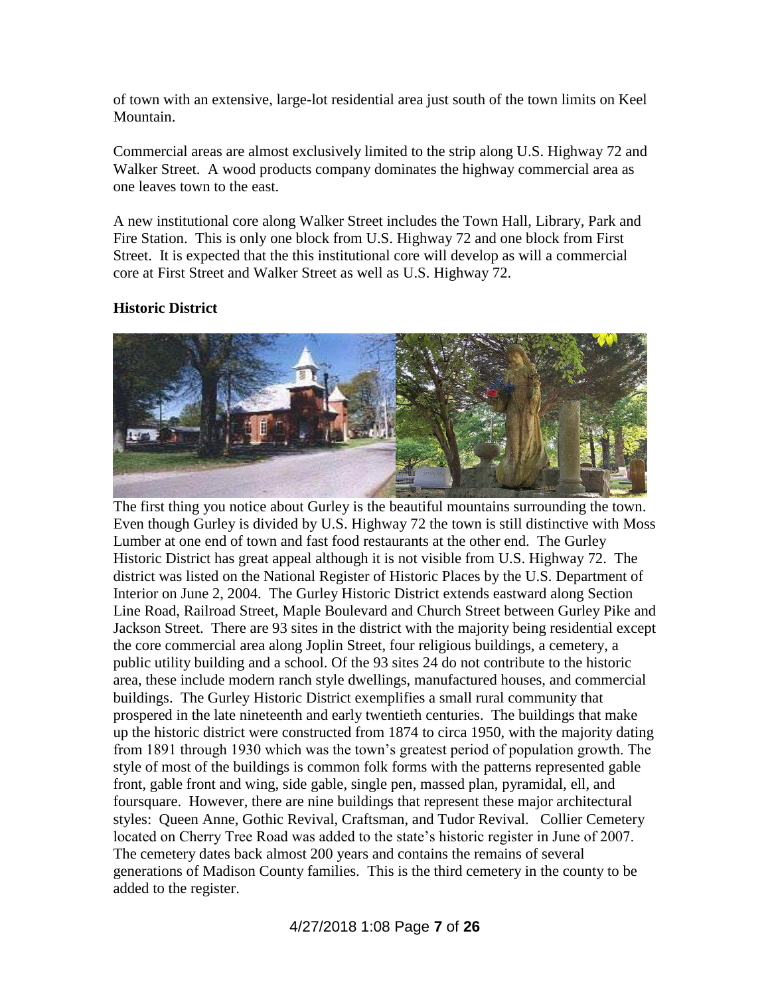of town with an extensive, large-lot residential area just south of the town limits on Keel Mountain.

Commercial areas are almost exclusively limited to the strip along U.S. Highway 72 and Walker Street. A wood products company dominates the highway commercial area as one leaves town to the east.

A new institutional core along Walker Street includes the Town Hall, Library, Park and Fire Station. This is only one block from U.S. Highway 72 and one block from First Street. It is expected that the this institutional core will develop as will a commercial core at First Street and Walker Street as well as U.S. Highway 72.

#### **Historic District**



The first thing you notice about Gurley is the beautiful mountains surrounding the town. Even though Gurley is divided by U.S. Highway 72 the town is still distinctive with Moss Lumber at one end of town and fast food restaurants at the other end. The Gurley Historic District has great appeal although it is not visible from U.S. Highway 72. The district was listed on the National Register of Historic Places by the U.S. Department of Interior on June 2, 2004. The Gurley Historic District extends eastward along Section Line Road, Railroad Street, Maple Boulevard and Church Street between Gurley Pike and Jackson Street. There are 93 sites in the district with the majority being residential except the core commercial area along Joplin Street, four religious buildings, a cemetery, a public utility building and a school. Of the 93 sites 24 do not contribute to the historic area, these include modern ranch style dwellings, manufactured houses, and commercial buildings. The Gurley Historic District exemplifies a small rural community that prospered in the late nineteenth and early twentieth centuries. The buildings that make up the historic district were constructed from 1874 to circa 1950, with the majority dating from 1891 through 1930 which was the town's greatest period of population growth. The style of most of the buildings is common folk forms with the patterns represented gable front, gable front and wing, side gable, single pen, massed plan, pyramidal, ell, and foursquare. However, there are nine buildings that represent these major architectural styles: Queen Anne, Gothic Revival, Craftsman, and Tudor Revival. Collier Cemetery located on Cherry Tree Road was added to the state's historic register in June of 2007. The cemetery dates back almost 200 years and contains the remains of several generations of Madison County families. This is the third cemetery in the county to be added to the register.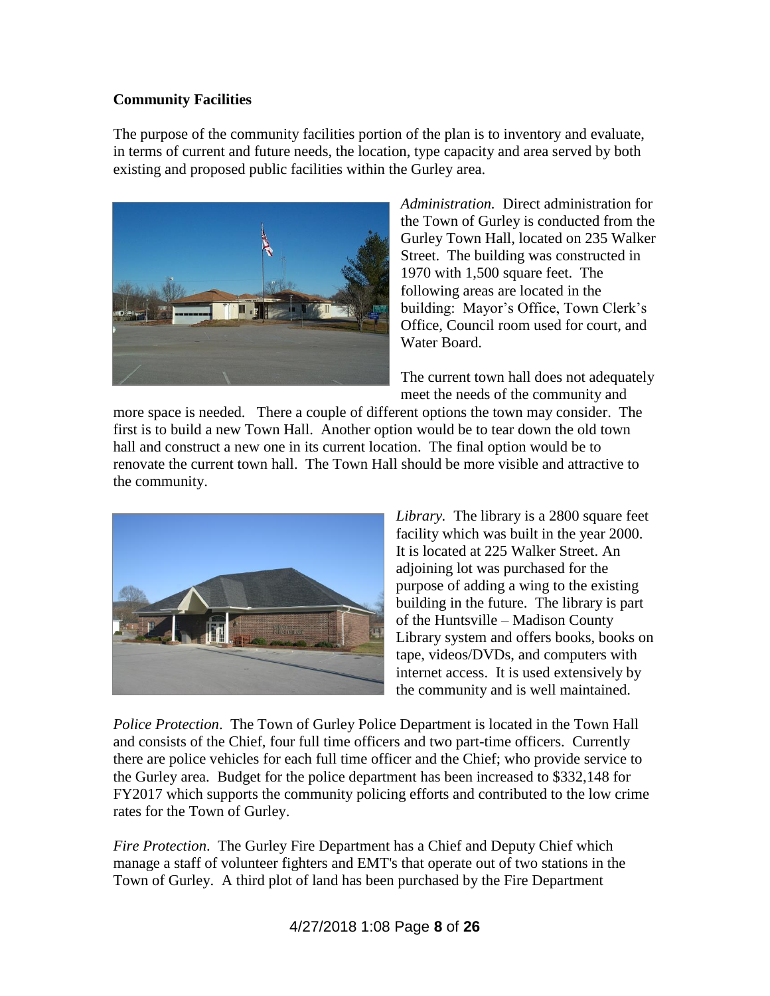#### **Community Facilities**

The purpose of the community facilities portion of the plan is to inventory and evaluate, in terms of current and future needs, the location, type capacity and area served by both existing and proposed public facilities within the Gurley area.



*Administration.* Direct administration for the Town of Gurley is conducted from the Gurley Town Hall, located on 235 Walker Street. The building was constructed in 1970 with 1,500 square feet. The following areas are located in the building: Mayor's Office, Town Clerk's Office, Council room used for court, and Water Board.

The current town hall does not adequately meet the needs of the community and

more space is needed. There a couple of different options the town may consider. The first is to build a new Town Hall. Another option would be to tear down the old town hall and construct a new one in its current location. The final option would be to renovate the current town hall. The Town Hall should be more visible and attractive to the community.



*Library.* The library is a 2800 square feet facility which was built in the year 2000. It is located at 225 Walker Street. An adjoining lot was purchased for the purpose of adding a wing to the existing building in the future. The library is part of the Huntsville – Madison County Library system and offers books, books on tape, videos/DVDs, and computers with internet access. It is used extensively by the community and is well maintained.

*Police Protection*. The Town of Gurley Police Department is located in the Town Hall and consists of the Chief, four full time officers and two part-time officers. Currently there are police vehicles for each full time officer and the Chief; who provide service to the Gurley area. Budget for the police department has been increased to \$332,148 for FY2017 which supports the community policing efforts and contributed to the low crime rates for the Town of Gurley.

*Fire Protection*. The Gurley Fire Department has a Chief and Deputy Chief which manage a staff of volunteer fighters and EMT's that operate out of two stations in the Town of Gurley. A third plot of land has been purchased by the Fire Department

4/27/2018 1:08 Page **8** of **26**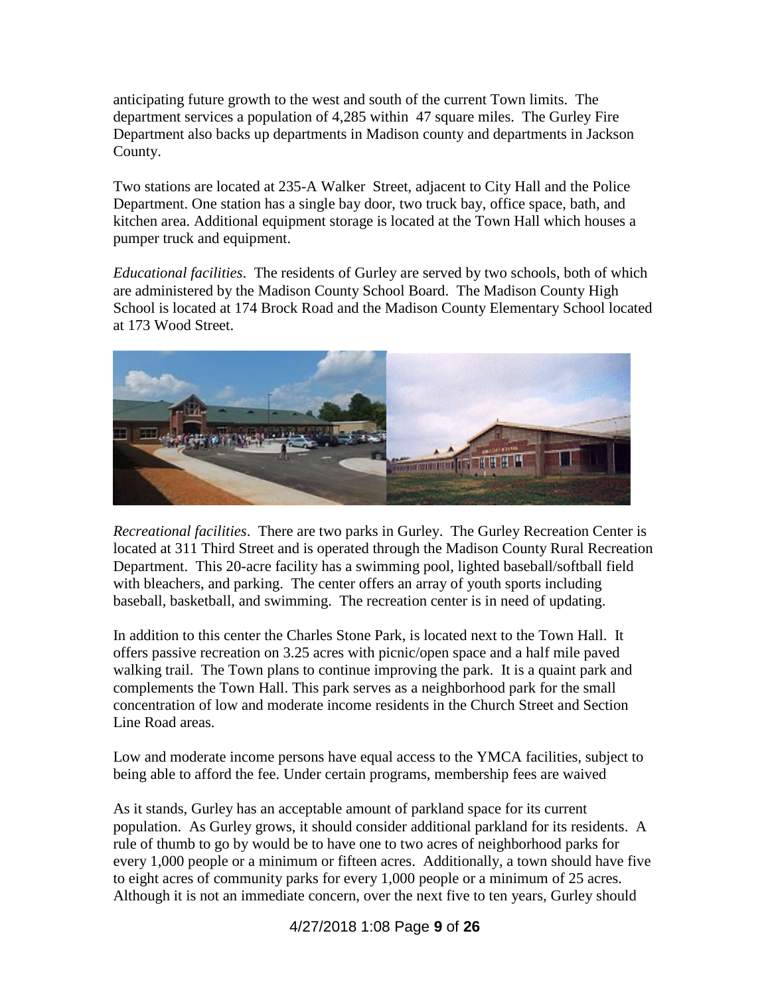anticipating future growth to the west and south of the current Town limits. The department services a population of 4,285 within 47 square miles. The Gurley Fire Department also backs up departments in Madison county and departments in Jackson County.

Two stations are located at 235-A Walker Street, adjacent to City Hall and the Police Department. One station has a single bay door, two truck bay, office space, bath, and kitchen area. Additional equipment storage is located at the Town Hall which houses a pumper truck and equipment.

*Educational facilities*. The residents of Gurley are served by two schools, both of which are administered by the Madison County School Board. The Madison County High School is located at 174 Brock Road and the Madison County Elementary School located at 173 Wood Street.



*Recreational facilities*. There are two parks in Gurley. The Gurley Recreation Center is located at 311 Third Street and is operated through the Madison County Rural Recreation Department. This 20-acre facility has a swimming pool, lighted baseball/softball field with bleachers, and parking. The center offers an array of youth sports including baseball, basketball, and swimming. The recreation center is in need of updating.

In addition to this center the Charles Stone Park, is located next to the Town Hall. It offers passive recreation on 3.25 acres with picnic/open space and a half mile paved walking trail. The Town plans to continue improving the park. It is a quaint park and complements the Town Hall. This park serves as a neighborhood park for the small concentration of low and moderate income residents in the Church Street and Section Line Road areas.

Low and moderate income persons have equal access to the YMCA facilities, subject to being able to afford the fee. Under certain programs, membership fees are waived

As it stands, Gurley has an acceptable amount of parkland space for its current population. As Gurley grows, it should consider additional parkland for its residents. A rule of thumb to go by would be to have one to two acres of neighborhood parks for every 1,000 people or a minimum or fifteen acres. Additionally, a town should have five to eight acres of community parks for every 1,000 people or a minimum of 25 acres. Although it is not an immediate concern, over the next five to ten years, Gurley should

4/27/2018 1:08 Page **9** of **26**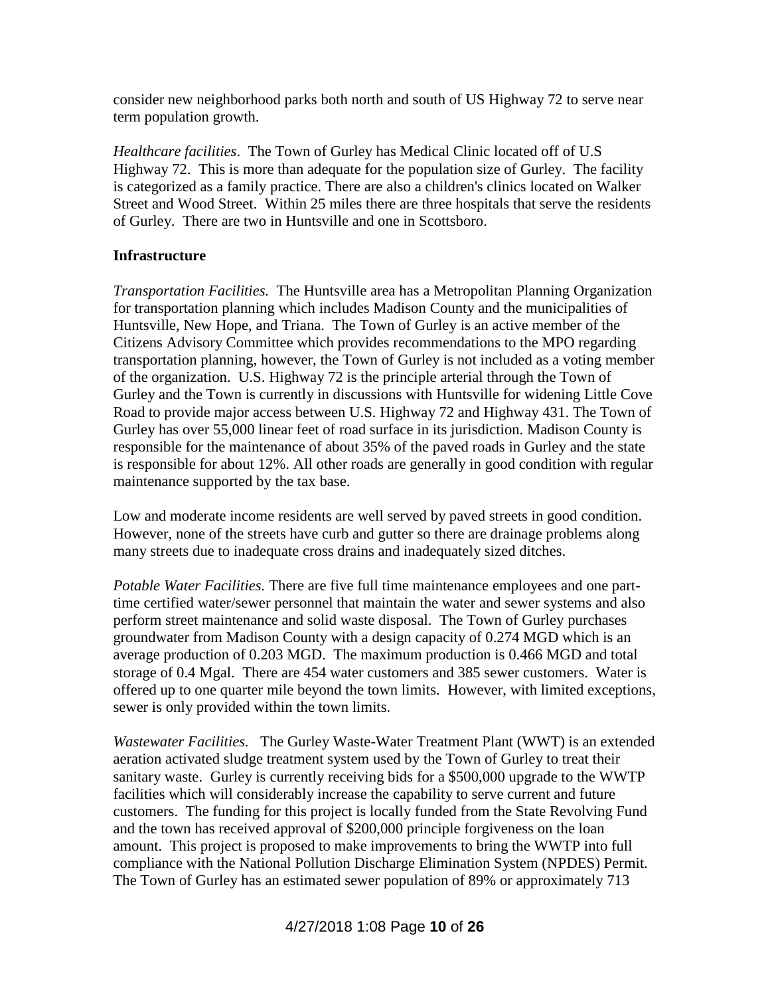consider new neighborhood parks both north and south of US Highway 72 to serve near term population growth.

*Healthcare facilities*. The Town of Gurley has Medical Clinic located off of U.S Highway 72. This is more than adequate for the population size of Gurley. The facility is categorized as a family practice. There are also a children's clinics located on Walker Street and Wood Street. Within 25 miles there are three hospitals that serve the residents of Gurley. There are two in Huntsville and one in Scottsboro.

#### **Infrastructure**

*Transportation Facilities.* The Huntsville area has a Metropolitan Planning Organization for transportation planning which includes Madison County and the municipalities of Huntsville, New Hope, and Triana. The Town of Gurley is an active member of the Citizens Advisory Committee which provides recommendations to the MPO regarding transportation planning, however, the Town of Gurley is not included as a voting member of the organization. U.S. Highway 72 is the principle arterial through the Town of Gurley and the Town is currently in discussions with Huntsville for widening Little Cove Road to provide major access between U.S. Highway 72 and Highway 431. The Town of Gurley has over 55,000 linear feet of road surface in its jurisdiction. Madison County is responsible for the maintenance of about 35% of the paved roads in Gurley and the state is responsible for about 12%. All other roads are generally in good condition with regular maintenance supported by the tax base.

Low and moderate income residents are well served by paved streets in good condition. However, none of the streets have curb and gutter so there are drainage problems along many streets due to inadequate cross drains and inadequately sized ditches.

*Potable Water Facilities.* There are five full time maintenance employees and one parttime certified water/sewer personnel that maintain the water and sewer systems and also perform street maintenance and solid waste disposal. The Town of Gurley purchases groundwater from Madison County with a design capacity of 0.274 MGD which is an average production of 0.203 MGD. The maximum production is 0.466 MGD and total storage of 0.4 Mgal. There are 454 water customers and 385 sewer customers. Water is offered up to one quarter mile beyond the town limits. However, with limited exceptions, sewer is only provided within the town limits.

*Wastewater Facilities.* The Gurley Waste-Water Treatment Plant (WWT) is an extended aeration activated sludge treatment system used by the Town of Gurley to treat their sanitary waste. Gurley is currently receiving bids for a \$500,000 upgrade to the WWTP facilities which will considerably increase the capability to serve current and future customers. The funding for this project is locally funded from the State Revolving Fund and the town has received approval of \$200,000 principle forgiveness on the loan amount. This project is proposed to make improvements to bring the WWTP into full compliance with the National Pollution Discharge Elimination System (NPDES) Permit. The Town of Gurley has an estimated sewer population of 89% or approximately 713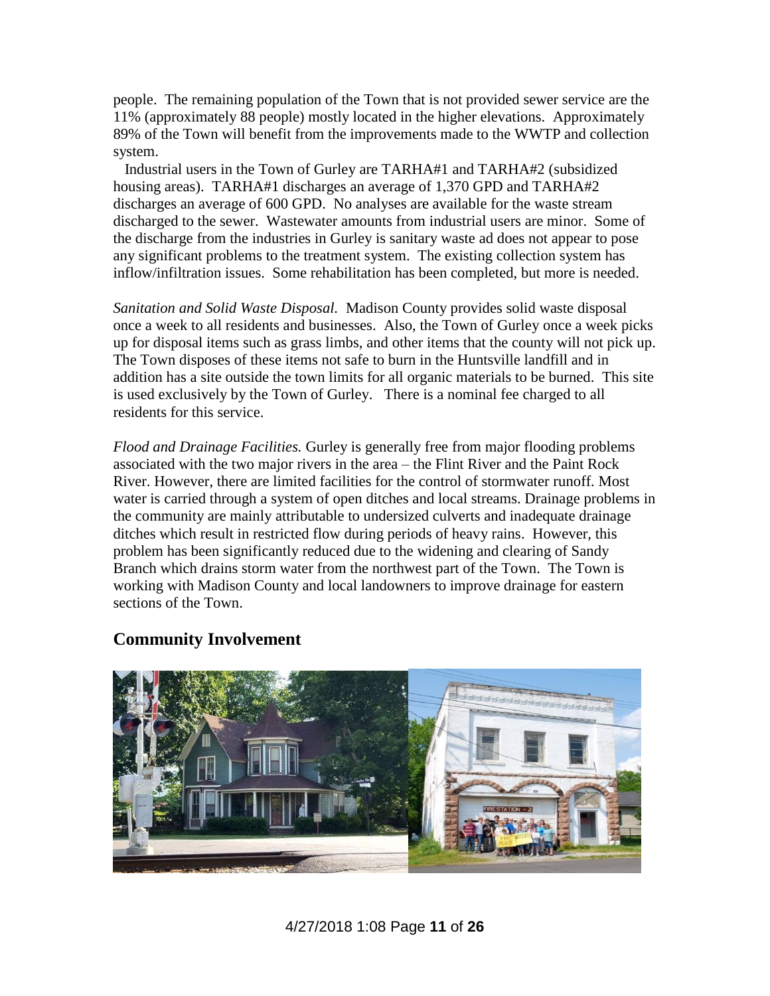people. The remaining population of the Town that is not provided sewer service are the 11% (approximately 88 people) mostly located in the higher elevations. Approximately 89% of the Town will benefit from the improvements made to the WWTP and collection system.

 Industrial users in the Town of Gurley are TARHA#1 and TARHA#2 (subsidized housing areas). TARHA#1 discharges an average of 1,370 GPD and TARHA#2 discharges an average of 600 GPD. No analyses are available for the waste stream discharged to the sewer. Wastewater amounts from industrial users are minor. Some of the discharge from the industries in Gurley is sanitary waste ad does not appear to pose any significant problems to the treatment system. The existing collection system has inflow/infiltration issues. Some rehabilitation has been completed, but more is needed.

*Sanitation and Solid Waste Disposal.* Madison County provides solid waste disposal once a week to all residents and businesses. Also, the Town of Gurley once a week picks up for disposal items such as grass limbs, and other items that the county will not pick up. The Town disposes of these items not safe to burn in the Huntsville landfill and in addition has a site outside the town limits for all organic materials to be burned. This site is used exclusively by the Town of Gurley. There is a nominal fee charged to all residents for this service.

*Flood and Drainage Facilities.* Gurley is generally free from major flooding problems associated with the two major rivers in the area – the Flint River and the Paint Rock River. However, there are limited facilities for the control of stormwater runoff. Most water is carried through a system of open ditches and local streams. Drainage problems in the community are mainly attributable to undersized culverts and inadequate drainage ditches which result in restricted flow during periods of heavy rains. However, this problem has been significantly reduced due to the widening and clearing of Sandy Branch which drains storm water from the northwest part of the Town. The Town is working with Madison County and local landowners to improve drainage for eastern sections of the Town.



#### **Community Involvement**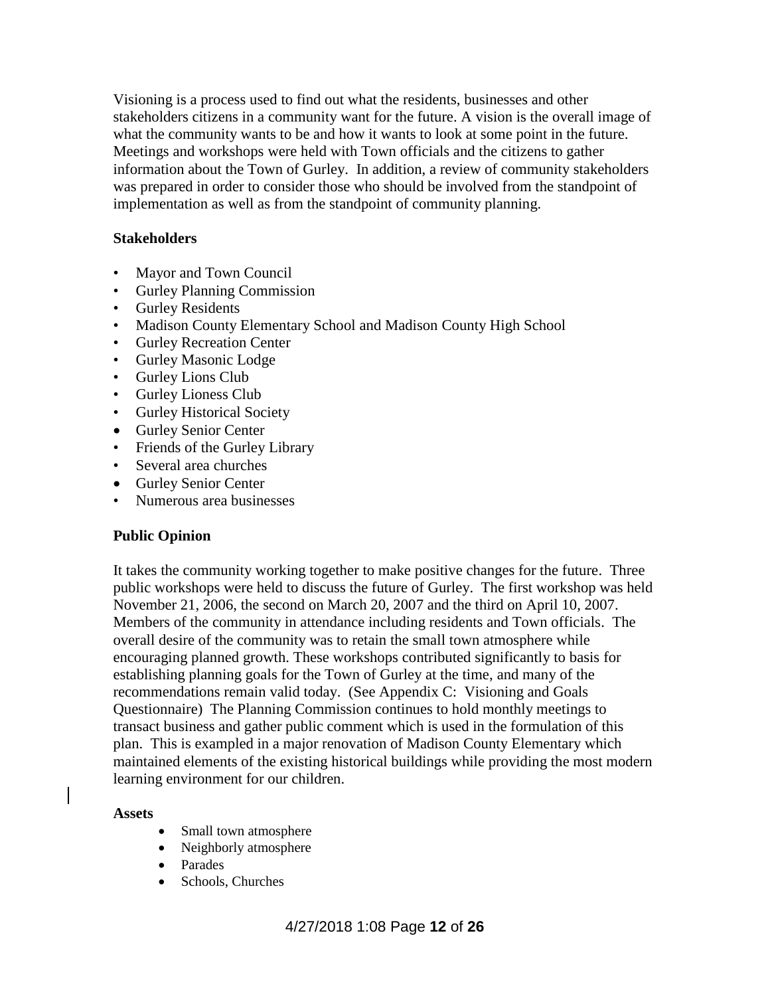Visioning is a process used to find out what the residents, businesses and other stakeholders citizens in a community want for the future. A vision is the overall image of what the community wants to be and how it wants to look at some point in the future. Meetings and workshops were held with Town officials and the citizens to gather information about the Town of Gurley. In addition, a review of community stakeholders was prepared in order to consider those who should be involved from the standpoint of implementation as well as from the standpoint of community planning.

#### **Stakeholders**

- Mayor and Town Council
- Gurley Planning Commission
- Gurley Residents
- Madison County Elementary School and Madison County High School
- Gurley Recreation Center
- Gurley Masonic Lodge
- Gurley Lions Club
- Gurley Lioness Club
- Gurley Historical Society
- Gurley Senior Center
- Friends of the Gurley Library
- Several area churches
- Gurley Senior Center
- Numerous area businesses

#### **Public Opinion**

It takes the community working together to make positive changes for the future. Three public workshops were held to discuss the future of Gurley. The first workshop was held November 21, 2006, the second on March 20, 2007 and the third on April 10, 2007. Members of the community in attendance including residents and Town officials. The overall desire of the community was to retain the small town atmosphere while encouraging planned growth. These workshops contributed significantly to basis for establishing planning goals for the Town of Gurley at the time, and many of the recommendations remain valid today. (See Appendix C: Visioning and Goals Questionnaire) The Planning Commission continues to hold monthly meetings to transact business and gather public comment which is used in the formulation of this plan. This is exampled in a major renovation of Madison County Elementary which maintained elements of the existing historical buildings while providing the most modern learning environment for our children.

#### **Assets**

- Small town atmosphere
- Neighborly atmosphere
- Parades
- Schools, Churches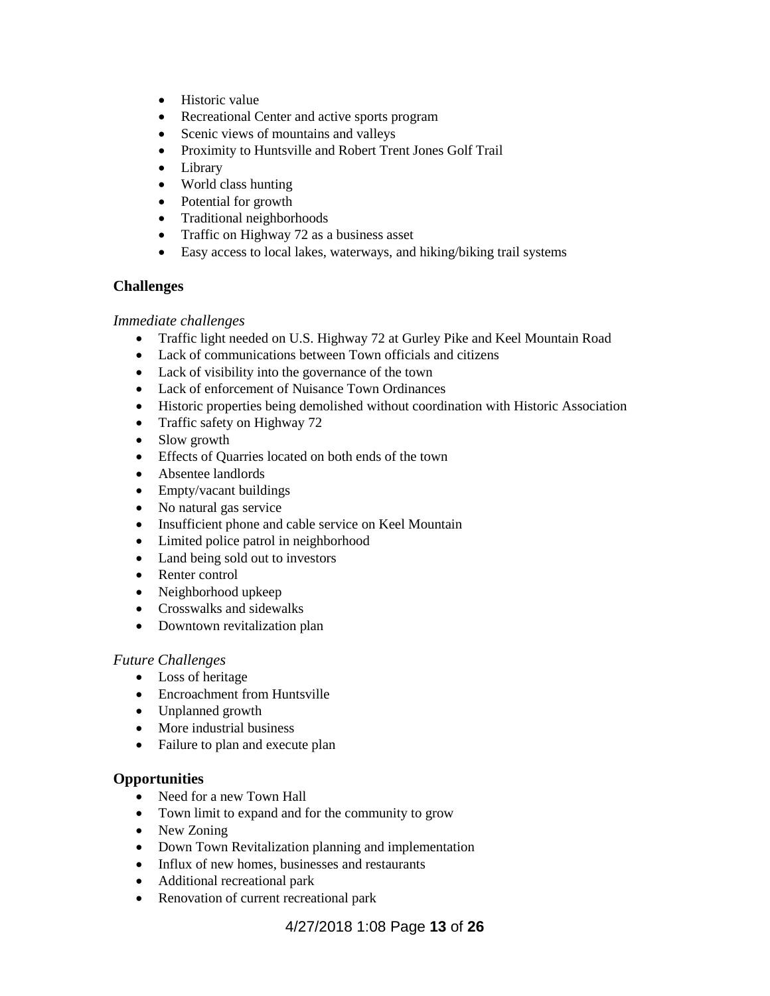- Historic value
- Recreational Center and active sports program
- Scenic views of mountains and valleys
- Proximity to Huntsville and Robert Trent Jones Golf Trail
- Library
- World class hunting
- Potential for growth
- Traditional neighborhoods
- Traffic on Highway 72 as a business asset
- Easy access to local lakes, waterways, and hiking/biking trail systems

#### **Challenges**

#### *Immediate challenges*

- Traffic light needed on U.S. Highway 72 at Gurley Pike and Keel Mountain Road
- Lack of communications between Town officials and citizens
- Lack of visibility into the governance of the town
- Lack of enforcement of Nuisance Town Ordinances
- Historic properties being demolished without coordination with Historic Association
- Traffic safety on Highway 72
- Slow growth
- Effects of Quarries located on both ends of the town
- Absentee landlords
- Empty/vacant buildings
- No natural gas service
- Insufficient phone and cable service on Keel Mountain
- Limited police patrol in neighborhood
- Land being sold out to investors
- Renter control
- Neighborhood upkeep
- Crosswalks and sidewalks
- Downtown revitalization plan

#### *Future Challenges*

- Loss of heritage
- Encroachment from Huntsville
- Unplanned growth
- More industrial business
- Failure to plan and execute plan

#### **Opportunities**

- Need for a new Town Hall
- Town limit to expand and for the community to grow
- New Zoning
- Down Town Revitalization planning and implementation
- Influx of new homes, businesses and restaurants
- Additional recreational park
- Renovation of current recreational park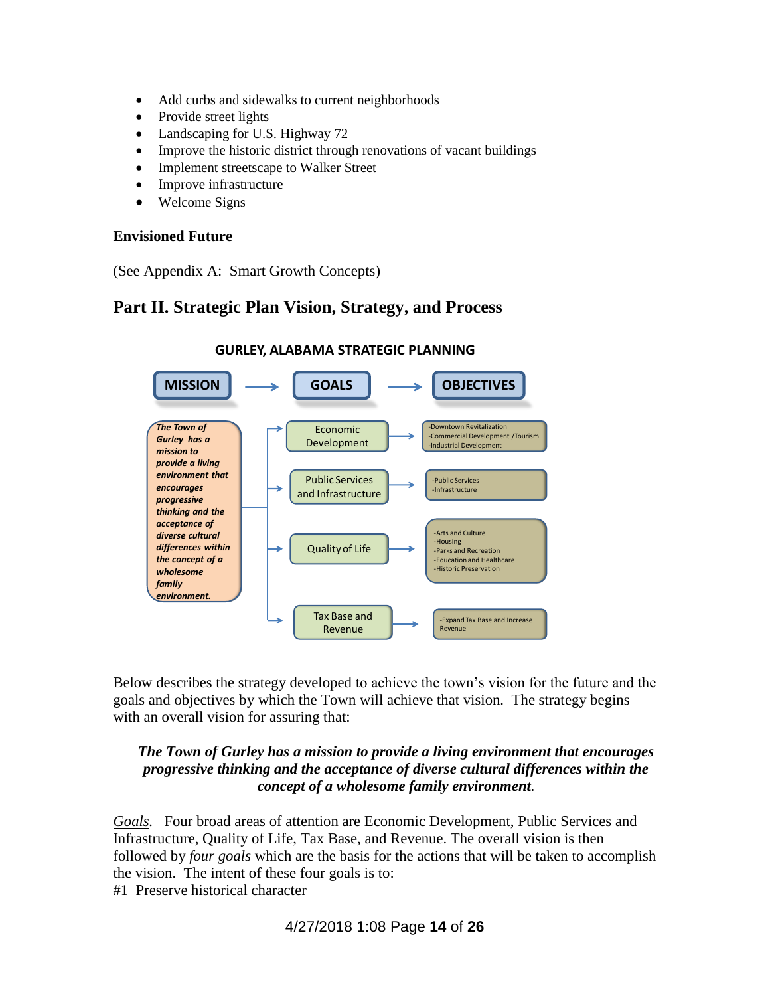- Add curbs and sidewalks to current neighborhoods
- Provide street lights
- Landscaping for U.S. Highway 72
- Improve the historic district through renovations of vacant buildings
- Implement streetscape to Walker Street
- Improve infrastructure
- Welcome Signs

#### **Envisioned Future**

(See Appendix A: Smart Growth Concepts)

# **Part II. Strategic Plan Vision, Strategy, and Process**



# **GURLEY, ALABAMA STRATEGIC PLANNING**

Below describes the strategy developed to achieve the town's vision for the future and the goals and objectives by which the Town will achieve that vision. The strategy begins with an overall vision for assuring that:

#### *The Town of Gurley has a mission to provide a living environment that encourages progressive thinking and the acceptance of diverse cultural differences within the concept of a wholesome family environment.*

*Goals.* Four broad areas of attention are Economic Development, Public Services and Infrastructure, Quality of Life, Tax Base, and Revenue. The overall vision is then followed by *four goals* which are the basis for the actions that will be taken to accomplish the vision. The intent of these four goals is to: #1 Preserve historical character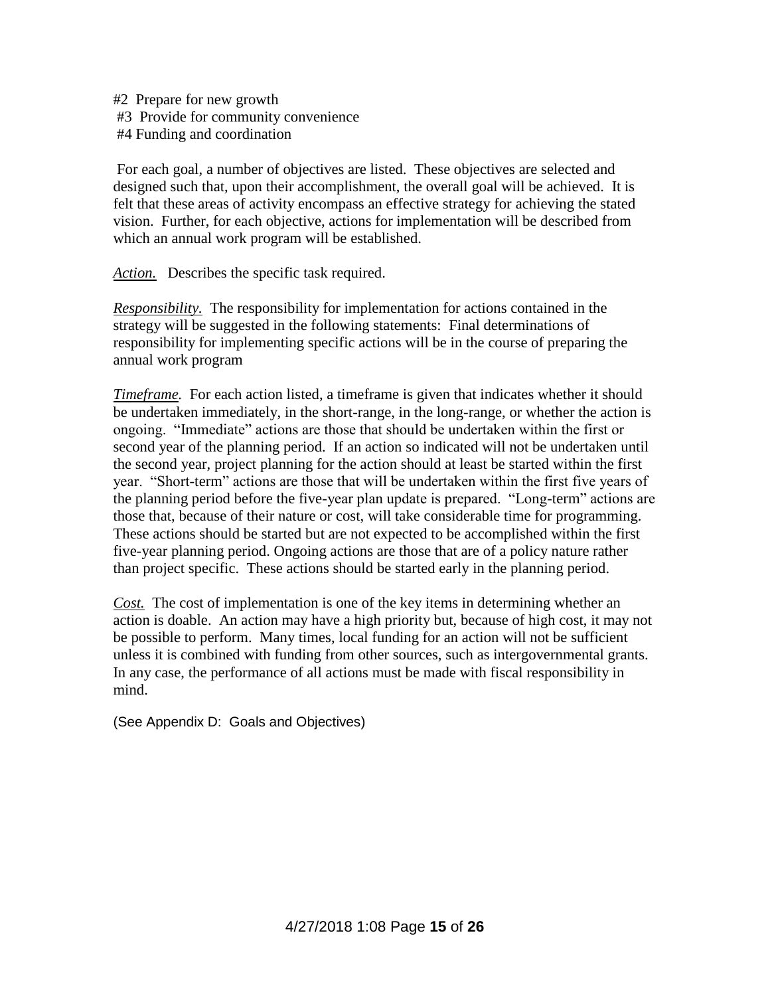#2 Prepare for new growth #3 Provide for community convenience #4 Funding and coordination

For each goal, a number of objectives are listed. These objectives are selected and designed such that, upon their accomplishment, the overall goal will be achieved. It is felt that these areas of activity encompass an effective strategy for achieving the stated vision. Further, for each objective, actions for implementation will be described from which an annual work program will be established.

*Action.* Describes the specific task required.

*Responsibility.* The responsibility for implementation for actions contained in the strategy will be suggested in the following statements: Final determinations of responsibility for implementing specific actions will be in the course of preparing the annual work program

*Timeframe.* For each action listed, a timeframe is given that indicates whether it should be undertaken immediately, in the short-range, in the long-range, or whether the action is ongoing. "Immediate" actions are those that should be undertaken within the first or second year of the planning period. If an action so indicated will not be undertaken until the second year, project planning for the action should at least be started within the first year. "Short-term" actions are those that will be undertaken within the first five years of the planning period before the five-year plan update is prepared. "Long-term" actions are those that, because of their nature or cost, will take considerable time for programming. These actions should be started but are not expected to be accomplished within the first five-year planning period. Ongoing actions are those that are of a policy nature rather than project specific. These actions should be started early in the planning period.

*Cost.* The cost of implementation is one of the key items in determining whether an action is doable. An action may have a high priority but, because of high cost, it may not be possible to perform. Many times, local funding for an action will not be sufficient unless it is combined with funding from other sources, such as intergovernmental grants. In any case, the performance of all actions must be made with fiscal responsibility in mind.

(See Appendix D: Goals and Objectives)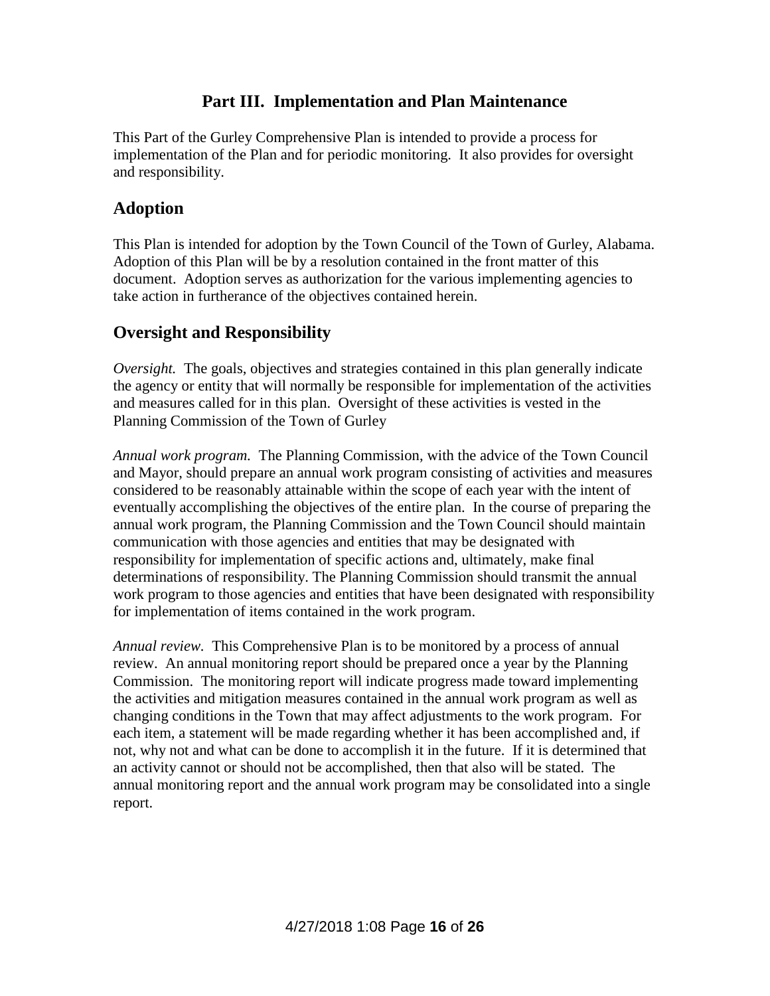# **Part III. Implementation and Plan Maintenance**

This Part of the Gurley Comprehensive Plan is intended to provide a process for implementation of the Plan and for periodic monitoring. It also provides for oversight and responsibility.

## **Adoption**

This Plan is intended for adoption by the Town Council of the Town of Gurley, Alabama. Adoption of this Plan will be by a resolution contained in the front matter of this document. Adoption serves as authorization for the various implementing agencies to take action in furtherance of the objectives contained herein.

# **Oversight and Responsibility**

*Oversight.* The goals, objectives and strategies contained in this plan generally indicate the agency or entity that will normally be responsible for implementation of the activities and measures called for in this plan. Oversight of these activities is vested in the Planning Commission of the Town of Gurley

*Annual work program.* The Planning Commission, with the advice of the Town Council and Mayor, should prepare an annual work program consisting of activities and measures considered to be reasonably attainable within the scope of each year with the intent of eventually accomplishing the objectives of the entire plan. In the course of preparing the annual work program, the Planning Commission and the Town Council should maintain communication with those agencies and entities that may be designated with responsibility for implementation of specific actions and, ultimately, make final determinations of responsibility. The Planning Commission should transmit the annual work program to those agencies and entities that have been designated with responsibility for implementation of items contained in the work program.

*Annual review.* This Comprehensive Plan is to be monitored by a process of annual review. An annual monitoring report should be prepared once a year by the Planning Commission. The monitoring report will indicate progress made toward implementing the activities and mitigation measures contained in the annual work program as well as changing conditions in the Town that may affect adjustments to the work program. For each item, a statement will be made regarding whether it has been accomplished and, if not, why not and what can be done to accomplish it in the future. If it is determined that an activity cannot or should not be accomplished, then that also will be stated. The annual monitoring report and the annual work program may be consolidated into a single report.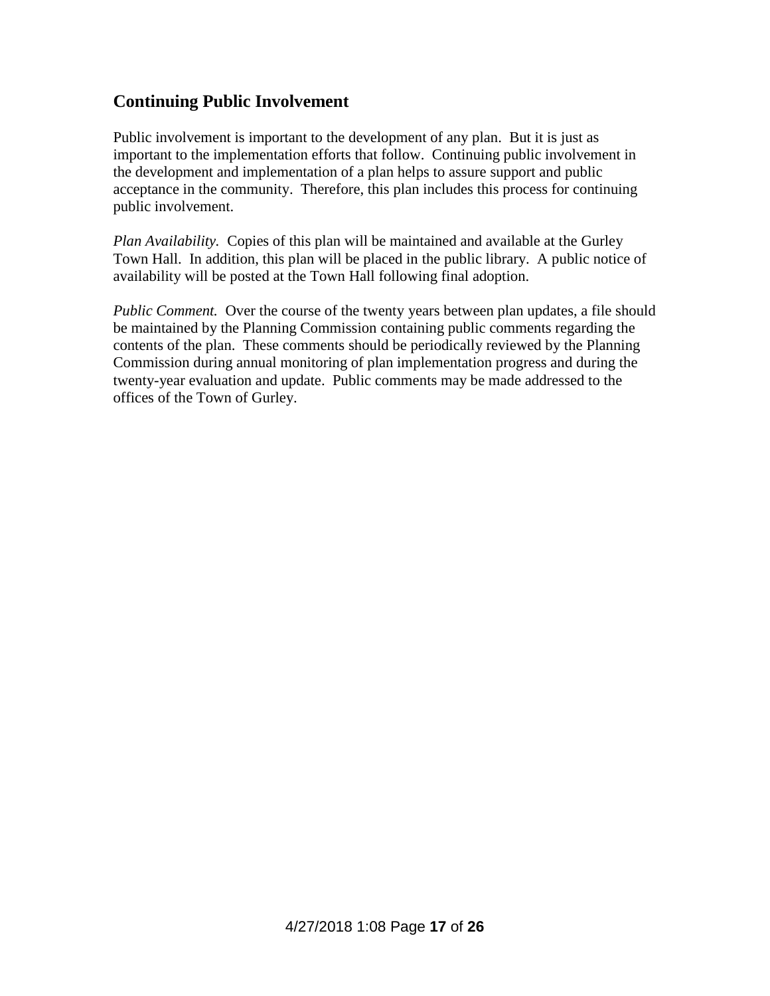# **Continuing Public Involvement**

Public involvement is important to the development of any plan. But it is just as important to the implementation efforts that follow. Continuing public involvement in the development and implementation of a plan helps to assure support and public acceptance in the community. Therefore, this plan includes this process for continuing public involvement.

*Plan Availability.* Copies of this plan will be maintained and available at the Gurley Town Hall. In addition, this plan will be placed in the public library. A public notice of availability will be posted at the Town Hall following final adoption.

*Public Comment.* Over the course of the twenty years between plan updates, a file should be maintained by the Planning Commission containing public comments regarding the contents of the plan. These comments should be periodically reviewed by the Planning Commission during annual monitoring of plan implementation progress and during the twenty-year evaluation and update. Public comments may be made addressed to the offices of the Town of Gurley.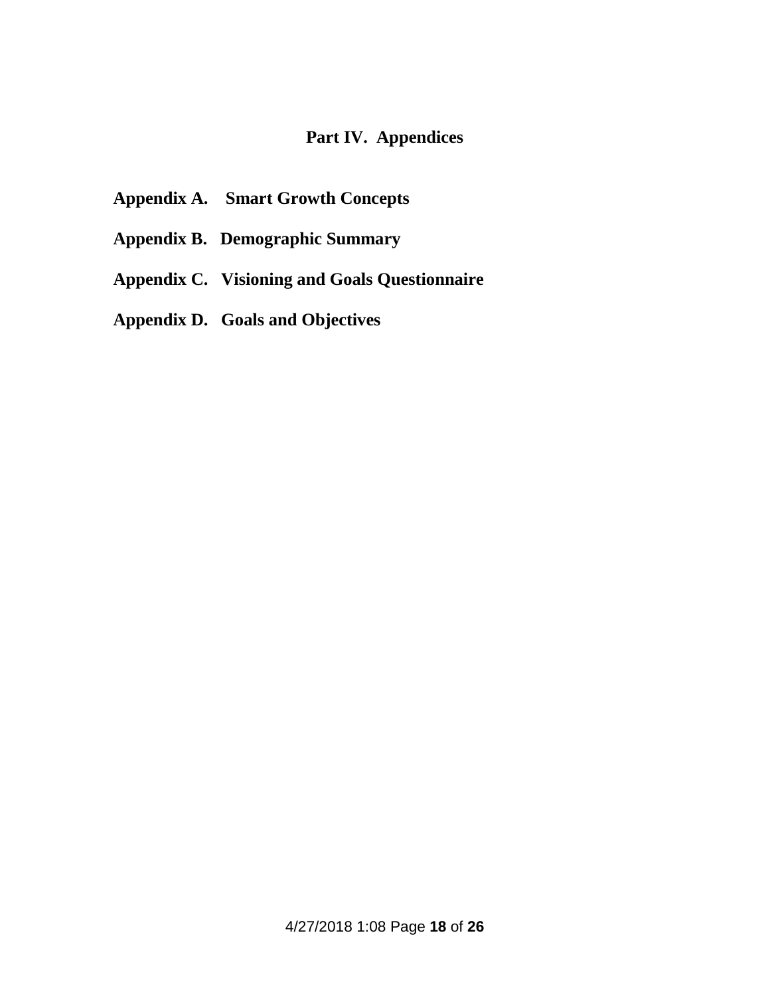# **Part IV. Appendices**

- **Appendix A. Smart Growth Concepts**
- **Appendix B. Demographic Summary**
- **Appendix C. Visioning and Goals Questionnaire**
- **Appendix D. Goals and Objectives**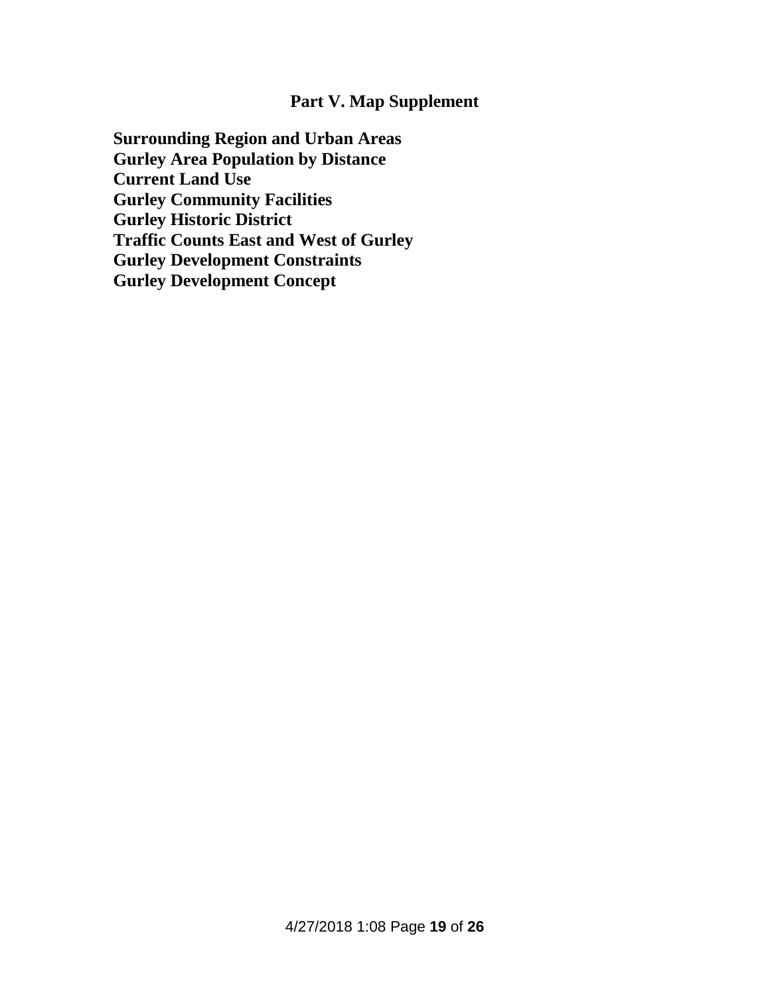# **Part V. Map Supplement**

**Surrounding Region and Urban Areas Gurley Area Population by Distance Current Land Use Gurley Community Facilities Gurley Historic District Traffic Counts East and West of Gurley Gurley Development Constraints Gurley Development Concept**